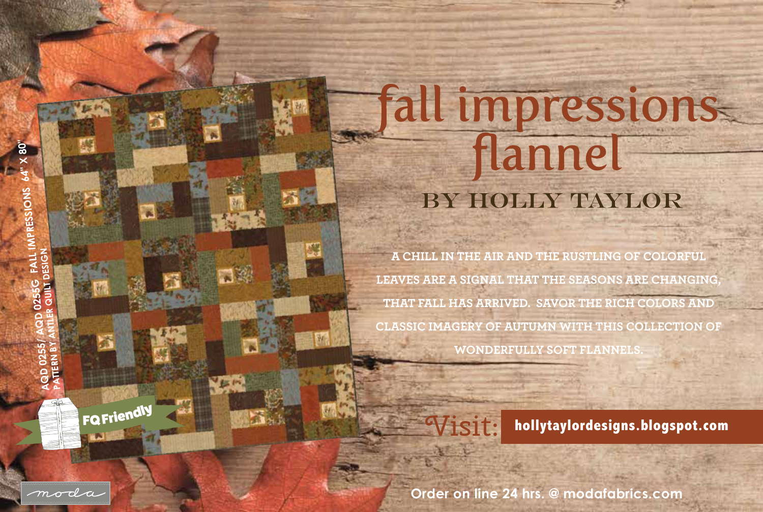## **Fall impressions** flannel BY HOLLY TAYLOR

**A CHILL IN THE AIR AND THE RUSTLING OF COLORFUL LEAVES ARE A SIGNAL THAT THE SEASONS ARE CHANGING, THAT FALL HAS ARRIVED. SAVOR THE RICH COLORS AND CLASSIC IMAGERY OF AUTUMN WITH THIS COLLECTION OF WONDERFULLY SOFT FLANNELS.** 



Visit: **hollytaylordesigns.blogspot.com**

**Order on line 24 hrs. @ modafabrics.com**

FQ Friendly

moda

**BE IN**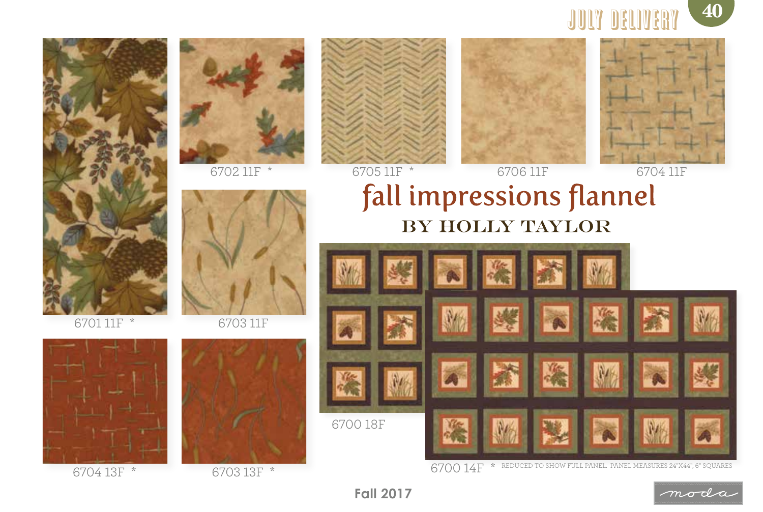







6703 11F







6702 11F \* 6705 11F \* 6706 11F 6704 11F





## fall impressions flannel BY HOLLY TAYLOR



6704 13F \* 6703 13F \* 6703 13F \* 6704 13F \* REDUCED TO SHOW FULL PANEL. PANEL MEASURES 24"X44", 6" SQUARES

**Order on line 24 hrs. @ modafabrics.com Fall 2017**

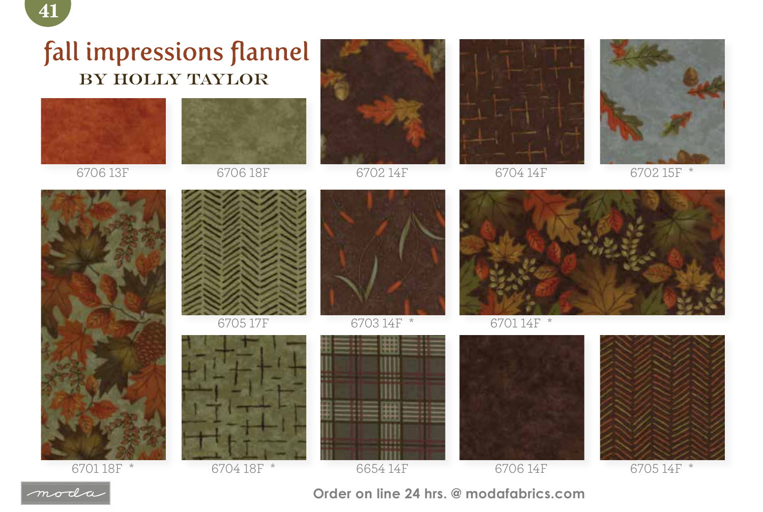## fall impressions flannel BY HOLLY TAYLOR



6706 13F







6702 14F 6704 14F



6702 15F \*



6701 18F \* 6704 18F \*



6705 17F





6703 14F \* 6701 14F \*





6706 14F 6654 14F 6705 14F \*



**Order on line 24 hrs. @ modafabrics.com**